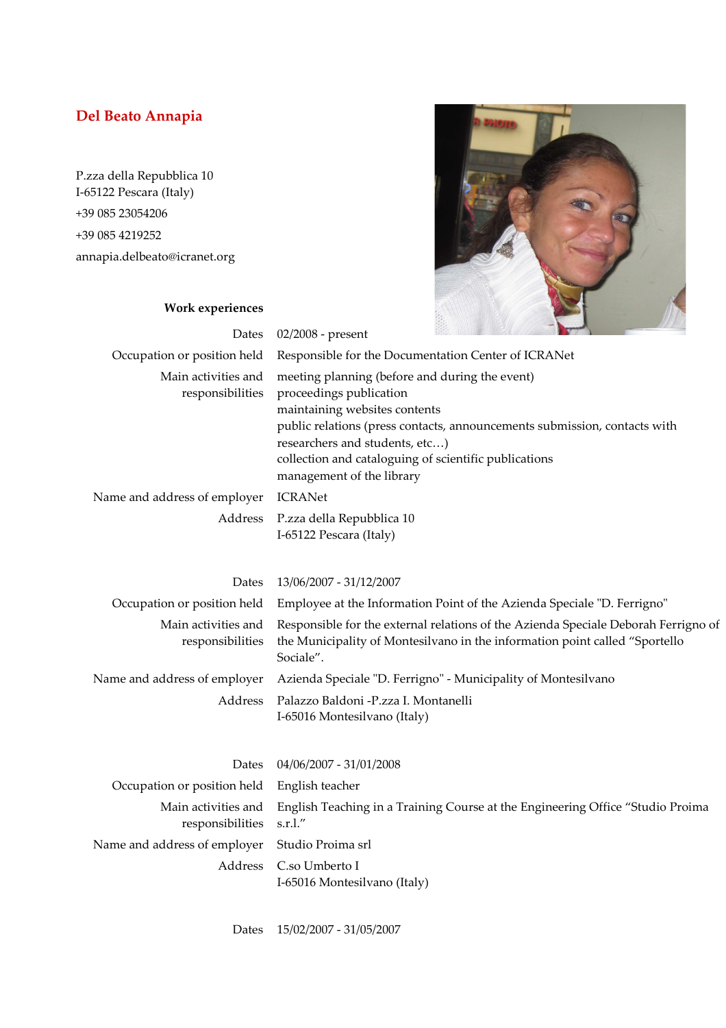## **Del Beato Annapia**

P.zza della Repubblica 10 I-65122 Pescara (Italy) +39 085 23054206 +39 085 4219252 annapia.delbeato@icranet.org



## **Work experiences**

| Dates                                   | 02/2008 - present                                                                                                                                                                                                                                                                                               |                                                                                                                                                                    |
|-----------------------------------------|-----------------------------------------------------------------------------------------------------------------------------------------------------------------------------------------------------------------------------------------------------------------------------------------------------------------|--------------------------------------------------------------------------------------------------------------------------------------------------------------------|
| Occupation or position held             | Responsible for the Documentation Center of ICRANet                                                                                                                                                                                                                                                             |                                                                                                                                                                    |
| Main activities and<br>responsibilities | meeting planning (before and during the event)<br>proceedings publication<br>maintaining websites contents<br>public relations (press contacts, announcements submission, contacts with<br>researchers and students, etc)<br>collection and cataloguing of scientific publications<br>management of the library |                                                                                                                                                                    |
| Name and address of employer            | <b>ICRANet</b>                                                                                                                                                                                                                                                                                                  |                                                                                                                                                                    |
| Address                                 | P.zza della Repubblica 10<br>I-65122 Pescara (Italy)                                                                                                                                                                                                                                                            |                                                                                                                                                                    |
| Dates                                   | 13/06/2007 - 31/12/2007                                                                                                                                                                                                                                                                                         |                                                                                                                                                                    |
| Occupation or position held             |                                                                                                                                                                                                                                                                                                                 | Employee at the Information Point of the Azienda Speciale "D. Ferrigno"                                                                                            |
| Main activities and<br>responsibilities | Sociale".                                                                                                                                                                                                                                                                                                       | Responsible for the external relations of the Azienda Speciale Deborah Ferrigno of<br>the Municipality of Montesilvano in the information point called "Sportello" |
|                                         |                                                                                                                                                                                                                                                                                                                 |                                                                                                                                                                    |
| Name and address of employer            |                                                                                                                                                                                                                                                                                                                 | Azienda Speciale "D. Ferrigno" - Municipality of Montesilvano                                                                                                      |
| Address                                 | Palazzo Baldoni -P.zza I. Montanelli<br>I-65016 Montesilvano (Italy)                                                                                                                                                                                                                                            |                                                                                                                                                                    |

| Occupation or position held English teacher                                                                                     |
|---------------------------------------------------------------------------------------------------------------------------------|
| Main activities and English Teaching in a Training Course at the Engineering Office "Studio Proima"<br>responsibilities s.r.l." |
| Name and address of employer Studio Proima srl                                                                                  |
| Address C.so Umberto I<br>I-65016 Montesilvano (Italy)                                                                          |
|                                                                                                                                 |

Dates 15/02/2007 - 31/05/2007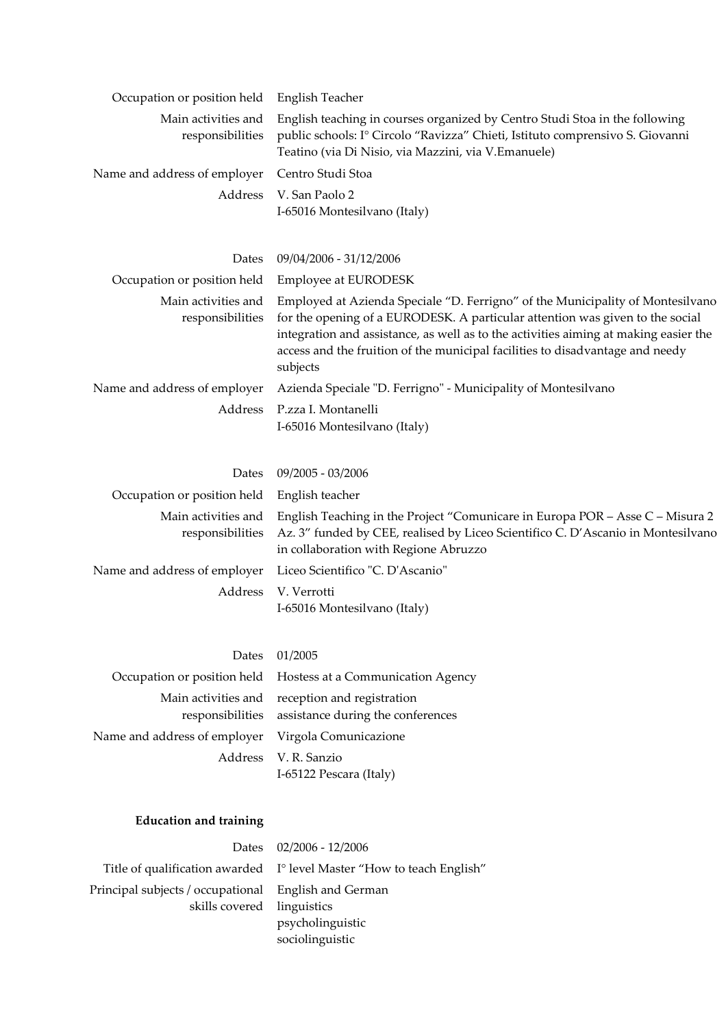| Occupation or position held             | English Teacher                                                                                                                                                                                                                                                                                                                                      |
|-----------------------------------------|------------------------------------------------------------------------------------------------------------------------------------------------------------------------------------------------------------------------------------------------------------------------------------------------------------------------------------------------------|
| Main activities and<br>responsibilities | English teaching in courses organized by Centro Studi Stoa in the following<br>public schools: Iº Circolo "Ravizza" Chieti, Istituto comprensivo S. Giovanni<br>Teatino (via Di Nisio, via Mazzini, via V.Emanuele)                                                                                                                                  |
| Name and address of employer            | Centro Studi Stoa                                                                                                                                                                                                                                                                                                                                    |
| Address                                 | V. San Paolo 2<br>I-65016 Montesilvano (Italy)                                                                                                                                                                                                                                                                                                       |
| Dates                                   | 09/04/2006 - 31/12/2006                                                                                                                                                                                                                                                                                                                              |
| Occupation or position held             | <b>Employee at EURODESK</b>                                                                                                                                                                                                                                                                                                                          |
| Main activities and<br>responsibilities | Employed at Azienda Speciale "D. Ferrigno" of the Municipality of Montesilvano<br>for the opening of a EURODESK. A particular attention was given to the social<br>integration and assistance, as well as to the activities aiming at making easier the<br>access and the fruition of the municipal facilities to disadvantage and needy<br>subjects |
| Name and address of employer            | Azienda Speciale "D. Ferrigno" - Municipality of Montesilvano                                                                                                                                                                                                                                                                                        |
| Address                                 | P.zza I. Montanelli<br>I-65016 Montesilvano (Italy)                                                                                                                                                                                                                                                                                                  |
| Dates                                   | 09/2005 - 03/2006                                                                                                                                                                                                                                                                                                                                    |
| Occupation or position held             | English teacher                                                                                                                                                                                                                                                                                                                                      |
| Main activities and<br>responsibilities | English Teaching in the Project "Comunicare in Europa POR - Asse C - Misura 2<br>Az. 3" funded by CEE, realised by Liceo Scientifico C. D'Ascanio in Montesilvano<br>in collaboration with Regione Abruzzo                                                                                                                                           |
| Name and address of employer            | Liceo Scientifico "C. D'Ascanio"                                                                                                                                                                                                                                                                                                                     |
| Address                                 | V. Verrotti<br>I-65016 Montesilvano (Italy)                                                                                                                                                                                                                                                                                                          |
| Dates                                   | 01/2005                                                                                                                                                                                                                                                                                                                                              |
| Occupation or position held             | Hostess at a Communication Agency                                                                                                                                                                                                                                                                                                                    |
| Main activities and<br>responsibilities | reception and registration<br>assistance during the conferences                                                                                                                                                                                                                                                                                      |
| Name and address of employer            | Virgola Comunicazione                                                                                                                                                                                                                                                                                                                                |
| Address                                 | V. R. Sanzio<br>I-65122 Pescara (Italy)                                                                                                                                                                                                                                                                                                              |
| <b>Education and training</b>           |                                                                                                                                                                                                                                                                                                                                                      |

|                                                                                    | Dates 02/2006 - 12/2006                                               |
|------------------------------------------------------------------------------------|-----------------------------------------------------------------------|
|                                                                                    | Title of qualification awarded I° level Master "How to teach English" |
| Principal subjects / occupational English and German<br>skills covered linguistics | psycholinguistic<br>sociolinguistic                                   |
|                                                                                    |                                                                       |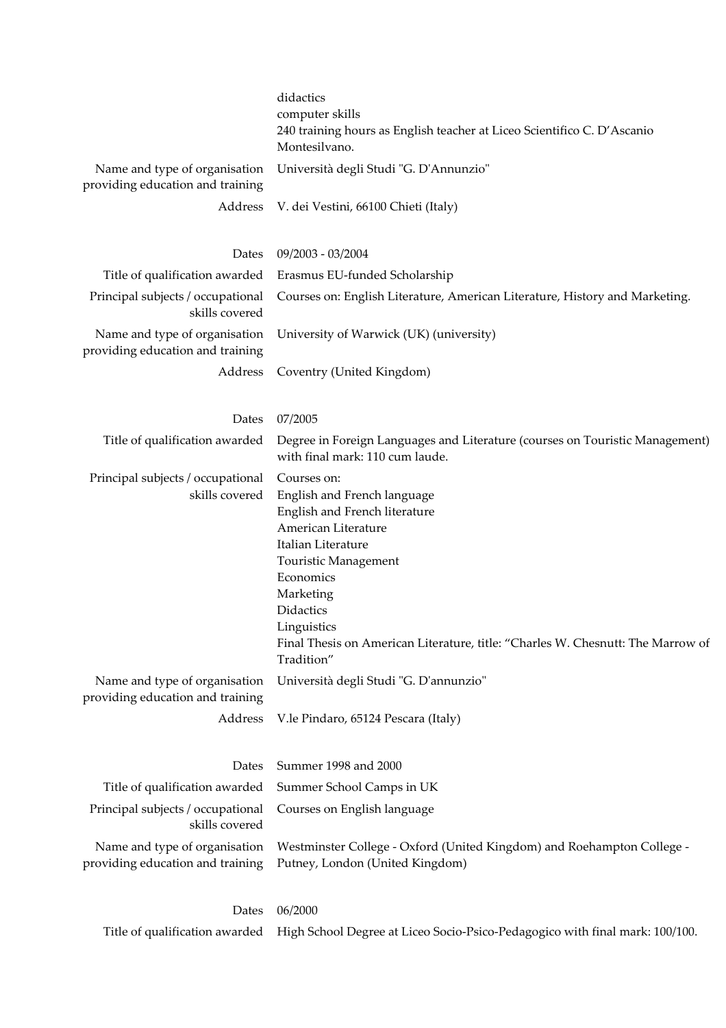|                                                                   | didactics<br>computer skills<br>240 training hours as English teacher at Liceo Scientifico C. D'Ascanio<br>Montesilvano.                                                                                                                                                                                |
|-------------------------------------------------------------------|---------------------------------------------------------------------------------------------------------------------------------------------------------------------------------------------------------------------------------------------------------------------------------------------------------|
| Name and type of organisation<br>providing education and training | Università degli Studi "G. D'Annunzio"                                                                                                                                                                                                                                                                  |
| Address                                                           | V. dei Vestini, 66100 Chieti (Italy)                                                                                                                                                                                                                                                                    |
| Dates                                                             | 09/2003 - 03/2004                                                                                                                                                                                                                                                                                       |
| Title of qualification awarded                                    | Erasmus EU-funded Scholarship                                                                                                                                                                                                                                                                           |
| Principal subjects / occupational<br>skills covered               | Courses on: English Literature, American Literature, History and Marketing.                                                                                                                                                                                                                             |
| Name and type of organisation<br>providing education and training | University of Warwick (UK) (university)                                                                                                                                                                                                                                                                 |
| Address                                                           | Coventry (United Kingdom)                                                                                                                                                                                                                                                                               |
| Dates                                                             | 07/2005                                                                                                                                                                                                                                                                                                 |
| Title of qualification awarded                                    | Degree in Foreign Languages and Literature (courses on Touristic Management)<br>with final mark: 110 cum laude.                                                                                                                                                                                         |
| Principal subjects / occupational<br>skills covered               | Courses on:<br>English and French language<br>English and French literature<br>American Literature<br>Italian Literature<br>Touristic Management<br>Economics<br>Marketing<br>Didactics<br>Linguistics<br>Final Thesis on American Literature, title: "Charles W. Chesnutt: The Marrow of<br>Tradition" |
| Name and type of organisation<br>providing education and training | Università degli Studi "G. D'annunzio"                                                                                                                                                                                                                                                                  |
| Address                                                           | V.le Pindaro, 65124 Pescara (Italy)                                                                                                                                                                                                                                                                     |
| Dates                                                             | Summer 1998 and 2000                                                                                                                                                                                                                                                                                    |
| Title of qualification awarded                                    | Summer School Camps in UK                                                                                                                                                                                                                                                                               |
| Principal subjects / occupational<br>skills covered               | Courses on English language                                                                                                                                                                                                                                                                             |
| Name and type of organisation<br>providing education and training | Westminster College - Oxford (United Kingdom) and Roehampton College -<br>Putney, London (United Kingdom)                                                                                                                                                                                               |
|                                                                   | $D_{\text{atoc}} = 06/2000$                                                                                                                                                                                                                                                                             |

Dates 06/2000

Title of qualification awarded High School Degree at Liceo Socio-Psico-Pedagogico with final mark: 100/100.